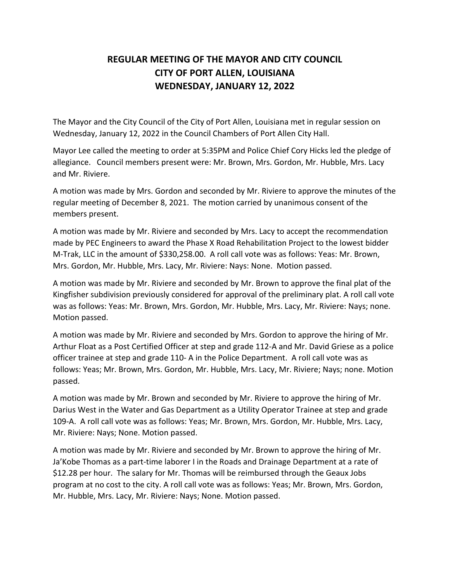## **REGULAR MEETING OF THE MAYOR AND CITY COUNCIL CITY OF PORT ALLEN, LOUISIANA WEDNESDAY, JANUARY 12, 2022**

The Mayor and the City Council of the City of Port Allen, Louisiana met in regular session on Wednesday, January 12, 2022 in the Council Chambers of Port Allen City Hall.

Mayor Lee called the meeting to order at 5:35PM and Police Chief Cory Hicks led the pledge of allegiance. Council members present were: Mr. Brown, Mrs. Gordon, Mr. Hubble, Mrs. Lacy and Mr. Riviere.

A motion was made by Mrs. Gordon and seconded by Mr. Riviere to approve the minutes of the regular meeting of December 8, 2021. The motion carried by unanimous consent of the members present.

A motion was made by Mr. Riviere and seconded by Mrs. Lacy to accept the recommendation made by PEC Engineers to award the Phase X Road Rehabilitation Project to the lowest bidder M-Trak, LLC in the amount of \$330,258.00. A roll call vote was as follows: Yeas: Mr. Brown, Mrs. Gordon, Mr. Hubble, Mrs. Lacy, Mr. Riviere: Nays: None. Motion passed.

A motion was made by Mr. Riviere and seconded by Mr. Brown to approve the final plat of the Kingfisher subdivision previously considered for approval of the preliminary plat. A roll call vote was as follows: Yeas: Mr. Brown, Mrs. Gordon, Mr. Hubble, Mrs. Lacy, Mr. Riviere: Nays; none. Motion passed.

A motion was made by Mr. Riviere and seconded by Mrs. Gordon to approve the hiring of Mr. Arthur Float as a Post Certified Officer at step and grade 112-A and Mr. David Griese as a police officer trainee at step and grade 110- A in the Police Department. A roll call vote was as follows: Yeas; Mr. Brown, Mrs. Gordon, Mr. Hubble, Mrs. Lacy, Mr. Riviere; Nays; none. Motion passed.

A motion was made by Mr. Brown and seconded by Mr. Riviere to approve the hiring of Mr. Darius West in the Water and Gas Department as a Utility Operator Trainee at step and grade 109-A. A roll call vote was as follows: Yeas; Mr. Brown, Mrs. Gordon, Mr. Hubble, Mrs. Lacy, Mr. Riviere: Nays; None. Motion passed.

A motion was made by Mr. Riviere and seconded by Mr. Brown to approve the hiring of Mr. Ja'Kobe Thomas as a part-time laborer I in the Roads and Drainage Department at a rate of \$12.28 per hour. The salary for Mr. Thomas will be reimbursed through the Geaux Jobs program at no cost to the city. A roll call vote was as follows: Yeas; Mr. Brown, Mrs. Gordon, Mr. Hubble, Mrs. Lacy, Mr. Riviere: Nays; None. Motion passed.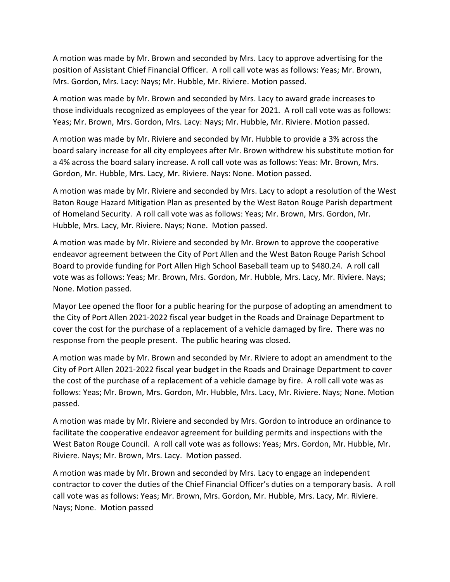A motion was made by Mr. Brown and seconded by Mrs. Lacy to approve advertising for the position of Assistant Chief Financial Officer. A roll call vote was as follows: Yeas; Mr. Brown, Mrs. Gordon, Mrs. Lacy: Nays; Mr. Hubble, Mr. Riviere. Motion passed.

A motion was made by Mr. Brown and seconded by Mrs. Lacy to award grade increases to those individuals recognized as employees of the year for 2021. A roll call vote was as follows: Yeas; Mr. Brown, Mrs. Gordon, Mrs. Lacy: Nays; Mr. Hubble, Mr. Riviere. Motion passed.

A motion was made by Mr. Riviere and seconded by Mr. Hubble to provide a 3% across the board salary increase for all city employees after Mr. Brown withdrew his substitute motion for a 4% across the board salary increase. A roll call vote was as follows: Yeas: Mr. Brown, Mrs. Gordon, Mr. Hubble, Mrs. Lacy, Mr. Riviere. Nays: None. Motion passed.

A motion was made by Mr. Riviere and seconded by Mrs. Lacy to adopt a resolution of the West Baton Rouge Hazard Mitigation Plan as presented by the West Baton Rouge Parish department of Homeland Security. A roll call vote was as follows: Yeas; Mr. Brown, Mrs. Gordon, Mr. Hubble, Mrs. Lacy, Mr. Riviere. Nays; None. Motion passed.

A motion was made by Mr. Riviere and seconded by Mr. Brown to approve the cooperative endeavor agreement between the City of Port Allen and the West Baton Rouge Parish School Board to provide funding for Port Allen High School Baseball team up to \$480.24. A roll call vote was as follows: Yeas; Mr. Brown, Mrs. Gordon, Mr. Hubble, Mrs. Lacy, Mr. Riviere. Nays; None. Motion passed.

Mayor Lee opened the floor for a public hearing for the purpose of adopting an amendment to the City of Port Allen 2021-2022 fiscal year budget in the Roads and Drainage Department to cover the cost for the purchase of a replacement of a vehicle damaged by fire. There was no response from the people present. The public hearing was closed.

A motion was made by Mr. Brown and seconded by Mr. Riviere to adopt an amendment to the City of Port Allen 2021-2022 fiscal year budget in the Roads and Drainage Department to cover the cost of the purchase of a replacement of a vehicle damage by fire. A roll call vote was as follows: Yeas; Mr. Brown, Mrs. Gordon, Mr. Hubble, Mrs. Lacy, Mr. Riviere. Nays; None. Motion passed.

A motion was made by Mr. Riviere and seconded by Mrs. Gordon to introduce an ordinance to facilitate the cooperative endeavor agreement for building permits and inspections with the West Baton Rouge Council. A roll call vote was as follows: Yeas; Mrs. Gordon, Mr. Hubble, Mr. Riviere. Nays; Mr. Brown, Mrs. Lacy. Motion passed.

A motion was made by Mr. Brown and seconded by Mrs. Lacy to engage an independent contractor to cover the duties of the Chief Financial Officer's duties on a temporary basis. A roll call vote was as follows: Yeas; Mr. Brown, Mrs. Gordon, Mr. Hubble, Mrs. Lacy, Mr. Riviere. Nays; None. Motion passed